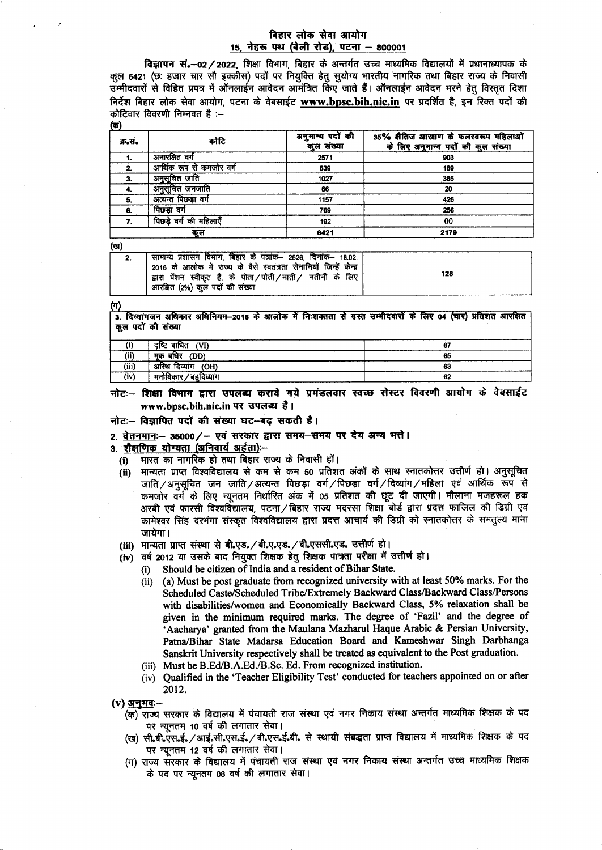# बिहार लोक सेवा आयोग 15, नेहरू पथ (बेली रोड), पटना - 800001

विज्ञापन सं.-02/2022, शिक्षा विभाग, बिहार के अन्तर्गत उच्च माध्यमिक विद्यालयों में प्रधानाध्यापक के कुल 6421 (छः हजार चार सौ इक्कीस) पदों पर नियुक्ति हेतु सुयोग्य भारतीय नागरिक तथा बिहार राज्य के निवासी उम्मीदवारों से विहित प्रपत्र में ऑनलाईन आवेदन आमंत्रित किए जाते हैं। ऑनलाईन आवेदन भरने हेतु विस्तृत दिशा निर्देश बिहार लोक सेवा आयोग, पटना के वेबसाईट www.bpsc.bih.nic.in पर प्रदर्शित है, इन रिक्त पदों की कोटिवार विवरणी निम्नवत है :-

| क्र.स. | कोटि                     | अनुमान्य पदों की<br>कुल संख्या | 35% सैतिज आरसण के फलस्वरूप महिलाओं<br>के लिए अनुमान्य पदों की कुल संख्या |
|--------|--------------------------|--------------------------------|--------------------------------------------------------------------------|
|        | अनारक्षित वर्ग           | 2571                           | 903                                                                      |
| 2.     | आर्थिक रूप से कमजोर वर्ग | 639                            | 189                                                                      |
| 3.     | अनुसूचित जाति            | 1027                           | 385                                                                      |
|        | अनुसूचित जनजाति          | 66                             | 20                                                                       |
| -5.    | अत्यन्त पिछड़ा वर्ग      | 1157                           | 426                                                                      |
| 6.     | पिछड़ा वर्ग              | 769                            | 256                                                                      |
|        | पिछड़े वर्ग की महिलाएँ   | 192                            | 00                                                                       |
| कूल    |                          | 6421                           | 2179                                                                     |

(ख)

| सामान्य प्रशासन विभाग, बिहार के पत्रांक— 2526, दिनांक— 18.02.<br>2016 के आलोक में राज्य के वैसे स्वतंत्रता सेनानियों जिन्हें केन्द्र<br>द्वारा पेंशन स्वीकृत है, के पोता/पोती/नाती/ नतीनी के लिए<br>आरक्षित (2%) कुल पदों की संख्या | 128 |
|-------------------------------------------------------------------------------------------------------------------------------------------------------------------------------------------------------------------------------------|-----|
|                                                                                                                                                                                                                                     |     |

(ग)

3. दिव्यांगजन अधिकार अधिनियम-2016 के आलोक में निःशक्तता से ग्रस्त उम्मीदवारों के लिए 04 (चार) प्रतिशत आरक्षित कूल पदों की संख्या

|                 | दष्टि बाधित<br>(VI) |    |  |
|-----------------|---------------------|----|--|
| (ii)            | (DD)<br>मक<br>बाधर  | 65 |  |
| (iii)           | अस्थि<br>(OH)       | 63 |  |
| $\cdots$<br>(iv | ⁄ ਤਰਨਿਆਂਸ           | 62 |  |

नोटः- शिक्षा विभाग द्वारा उपलब्ध कराये गये प्रमंडलवार स्वच्छ रोस्टर विवरणी आयोग के वेबसाईट www.bpsc.bih.nic.in पर उपलब्ध है।

## नोटः- विज्ञापित पदों की संख्या घट-बढ़ सकती है।

# 2. वेतनमानः-- 35000/- एवं सरकार द्वारा समय-समय पर देय अन्य भत्ते।

3. शैक्षणिक योग्यता (अनिवार्य अर्हता) -

- भारत का नागरिक हो तथा बिहार राज्य के निवासी हों।  $(i)$
- मान्यता प्राप्त विश्वविद्यालय से कम से कम 50 प्रतिशत अंकों के साथ स्नातकोत्तर उत्तीर्ण हो। अनुसूचित  $(ii)$ जाति / अनुसूचित जन जाति / अत्यन्त पिछड़ा वर्ग / पिछड़ा वर्ग / दिव्यांग / महिला एवं आर्थिक रूप से कमजोर वर्ग के लिए न्यूनतम निर्धारित अंक में 05 प्रतिशत की छूट दी जाएगी। मौलाना मजहरूल हक अरबी एवं फारसी विश्वविद्यालय, पटना ⁄ बिहार राज्य मदरसा शिक्षा बोर्ड द्वारा प्रदत्त फाजिल की डिग्री एवं कामेश्वर सिंह दरभंगा संस्कृत विश्वविद्यालय द्वारा प्रदत्त आचार्य की डिग्री को स्नातकोत्तर के समतुल्य माना जायेगा।
- (iii) मान्यता प्राप्त संस्था से बी.एड. / बी.ए.एड. / बी.एससी.एड. उत्तीर्ण हो।
- (iv) वर्ष 2012 या उसके बाद नियुक्त शिक्षक हेतू शिक्षक पात्रता परीक्षा में उत्तीर्ण हो।
	- Should be citizen of India and a resident of Bihar State.  $(i)$
	- (ii) (a) Must be post graduate from recognized university with at least 50% marks. For the Scheduled Caste/Scheduled Tribe/Extremely Backward Class/Backward Class/Persons with disabilities/women and Economically Backward Class, 5% relaxation shall be given in the minimum required marks. The degree of 'Fazil' and the degree of 'Aacharya' granted from the Maulana Mazharul Haque Arabic & Persian University, Patna/Bihar State Madarsa Education Board and Kameshwar Singh Darbhanga Sanskrit University respectively shall be treated as equivalent to the Post graduation.
	- (iii) Must be B.Ed/B.A.Ed./B.Sc. Ed. From recognized institution.
	- (iv) Qualified in the 'Teacher Eligibility Test' conducted for teachers appointed on or after 2012.

(v) अनुभवः-

- (क) राज्य सरकार के विद्यालय में पंचायती राज संस्था एवं नगर निकाय संस्था अन्तर्गत माध्यमिक शिक्षक के पद पर न्यूनतम 10 वर्ष की लगातार सेवा।
- (ख) सी.बी.एस.ई. /आई.सी.एस.ई. / बी.एस.ई.बी. से स्थायी संबद्धता प्राप्त विद्यालय में माध्यमिक शिक्षक के पद पर न्यूनतम 12 वर्ष की लगातार सेवा।
- (ग) राज्य सरकार के विद्यालय में पंचायती राज संस्था एवं नगर निकाय संस्था अन्तर्गत उच्च माध्यमिक शिक्षक के पद पर न्यूनतम 08 वर्ष की लगातार सेवा।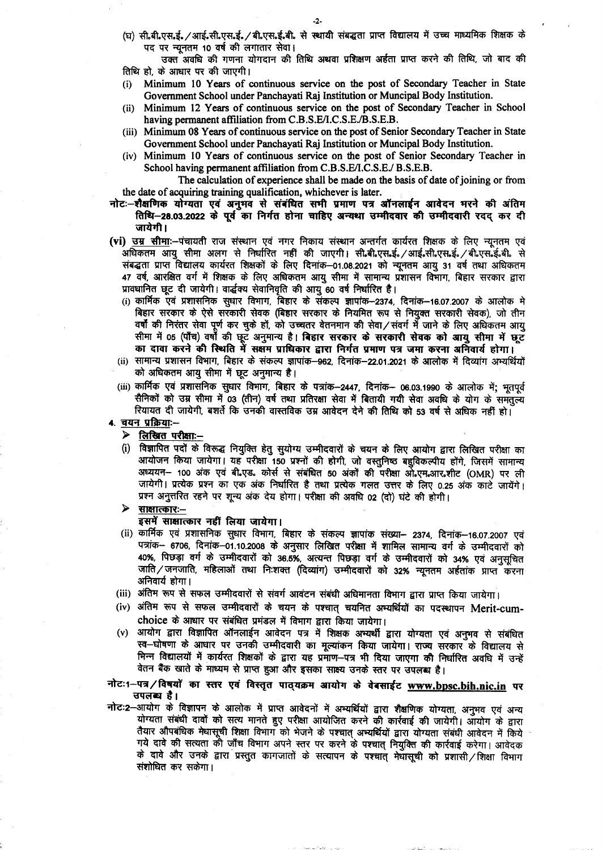(घ) सी.बी.एस.ई. /आई.सी.एस.ई. /बी.एस.ई.बी. से स्थायी संबद्धता प्राप्त विद्यालय में उच्च माध्यमिक शिक्षक के पद पर न्यनतम 10 वर्ष की लगातार सेवा।

उक्त अवधि की गणना योगदान की तिथि अथवा प्रशिक्षण अर्हता प्राप्त करने की तिथि, जो बाद की तिथि हो, के आधार पर की जाएगी।

- Minimum 10 Years of continuous service on the post of Secondary Teacher in State  $(i)$ Government School under Panchayati Raj Institution or Muncipal Body Institution.
- (ii) Minimum 12 Years of continuous service on the post of Secondary Teacher in School having permanent affiliation from C.B.S.E/I.C.S.E./B.S.E.B.
- (iii) Minimum 08 Years of continuous service on the post of Senior Secondary Teacher in State Government School under Panchayati Raj Institution or Muncipal Body Institution.
- (iv) Minimum 10 Years of continuous service on the post of Senior Secondary Teacher in School having permanent affiliation from C.B.S.E/I.C.S.E./ B.S.E.B.

The calculation of experience shall be made on the basis of date of joining or from the date of acquiring training qualification, whichever is later.

- नोटः-शैक्षणिक योग्यता एवं अनुभव से संबंधित सभी प्रमाण पत्र ऑनलाईन आवेदन भरने की अंतिम तिथि–28.03.2022 के पूर्व का निर्गत होना चाहिए अन्यथा उम्मीदवार की उम्मीदवारी रदद कर दी जायेगी।
- (vi) उम्र सीमाः--पंचायती राज संस्थान एवं नगर निकाय संस्थान अन्तर्गत कार्यरत शिक्षक के लिए न्यूनतम एवं .<br>अधिकतम आयु सीमा अलग से निर्धारित नहीं की जाएगी। सी.बी.एस.ई. /आई.सी.एस.ई. /बी.एस.ई.बी. से संबद्धता प्राप्त विद्यालय कार्यरत शिक्षकों के लिए दिनांक-01.08.2021 को न्यूनतम आयू 31 वर्ष तथा अधिकतम 47 वर्ष, आरक्षित वर्ग में शिक्षक के लिए अधिकतम आयु सीमा में सामान्य प्रशासन विभाग, बिहार सरकार द्वारा प्रावधानित छूट दी जायेगी। वार्द्धक्य सेवानिवृति की आयु 60 वर्ष निर्धारित है।
	- (i) कार्मिक एवं प्रशासनिक सुधार विभाग, बिहार के संकल्प ज्ञापांक–2374, दिनांक–16.07.2007 के आलोक मे बिहार सरकार के ऐसे सरकारी सेवक (बिहार सरकार के नियमित रूप से नियुक्त सरकारी सेवक), जो तीन वर्षों की निरंतर सेवा पूर्ण कर चुके हों, को उच्चतर वेतनमान की सेवा⁄संवर्ग में जाने के लिए अधिकतम आय सीमा में 05 (पाँच) वर्षों की छूट अनुमान्य है। बिहार सरकार के सरकारी सेवक को आयु सीमा में छूट का दावा करने की स्थिति में सक्षम प्राधिकार द्वारा निर्गत प्रमाण पत्र जमा करना अनिवार्य होगा।
	- (ii) सामान्य प्रशासन विभाग, बिहार के संकल्प ज्ञापांक–962, दिनांक–22.01.2021 के आलोक में दिव्यांग अभ्यर्थियों को अधिकतम आयु सीमा में छूट अनुमान्य है।
	- (iii) कार्मिक एवं प्रशासनिक सुधार विभाग, बिहार के पत्रांक-2447, दिनांक- 06.03.1990 के आलोक में; भूतपूर्व सैनिकों को उम्र सीमा में 03 (तीन) वर्ष तथा प्रतिरक्षा सेवा में बितायी गयी सेवा अवधि के योग के समतत्व्य रियायत दी जायेगी, बशर्ते कि उनकी वास्तविक उम्र आवेदन देने की तिथि को 53 वर्ष से अधिक नहीं हो।

#### 4. चयन प्रक्रियाः--

# $\triangleright$  लिखित परीक्षाः-

(i) विज्ञापित पदों के विरूद्ध नियुक्ति हेतु सुयोग्य उम्मीदवारों के चयन के लिए आयोग द्वारा लिखित परीक्षा का आयोजन किया जायेगा। यह परीक्षा 150 प्रश्नों की होगी, जो वस्तुनिष्ठ बहुविकल्पीय होंगे, जिसमें सामान्य अध्ययन- 100 अंक एवं बी एड. कोर्स से संबंधित 50 अंकों की परीक्षा ओ एम आर शीट (OMR) पर ली जायेगी। प्रत्येक प्रश्न का एक अंक निर्धारित है तथा प्रत्येक गलत उत्तर के लिए 0.25 अंक काटे जायेंगे। प्रश्न अनुत्तरित रहने पर शून्य अंक देय होगा। परीक्षा की अवधि 02 (दो) घंटे की होगी।

#### <u>साक्षात्कारः—</u>  $\blacktriangleright$

## इसमें साक्षात्कार नहीं लिया जायेगा।

- (ii) कार्मिक एवं प्रशासनिक सुधार विभाग, बिहार के संकल्प ज्ञापांक संख्या— 2374, दिनांक—16.07.2007 एवं पत्रांक-- 6706, दिनांक-01.10.2008 के अनुसार लिखित परीक्षा में शामिल सामान्य वर्ग के उम्मीदवारों को 40%, पिछड़ा वर्ग के उम्मीदवारों को 36.5%, अत्यन्त पिछड़ा वर्ग के उम्मीदवारों को 34% एवं अनुसूचित जाति/जनजाति, महिलाओं तथा निःशक्त (दिव्यांग) उम्मीदवारों को 32% न्यूनतम अर्हतांक प्राप्त करना अनिवार्य होगा।
- (iii) अंतिम रूप से सफल उम्मीदवारों से संवर्ग आवंटन संबंधी अधिमानता विभाग द्वारा प्राप्त किया जायेगा।
- (iv) अंतिम रूप से सफल उम्मीदवारों के चयन के पश्चात् चयनित अभ्यर्थियों का पदस्थापन Merit-cumchoice के आधार पर संबंधित प्रमंडल में विभाग द्वारा किया जायेगा।
- आयोग द्वारा विज्ञापित ऑनलाईन आवेदन पत्र में शिक्षक अभ्यर्थी द्वारा योग्यता एवं अनुभव से संबंधित  $(v)$ स्व-घोषणा के आधार पर उनकी उम्मीदवारी का मूल्यांकन किया जायेगा। राज्य सरकार के विद्यालय से भिन्न विद्यालयों में कार्यरत शिक्षकों के द्वारा यह प्रमाण-पत्र भी दिया जाएगा की निर्धारित अवधि में उन्हें वेतन बैंक खाते के माध्यम से प्राप्त हुआ और इसका साक्ष्य उनके स्तर पर उपलब्ध है।

# नोटः 1-पत्र/विषयों का स्तर एवं विस्तृत पाठ्यक्रम आयोग के वेबसाईट www.bpsc.bih.nic.in पर उपलब्ध है।

नोट:2-आयोग के विज्ञापन के आलोक में प्राप्त आवेदनों में अभ्यर्थियों द्वारा शैक्षणिक योग्यता, अनुभव एवं अन्य योग्यता संबंधी दावों को सत्य मानते हुए परीक्षा आयोजित करने की कार्रवाई की जायेगी। आयोग के द्वारा तैयार औपबंधिक मेधासूची शिक्षा विभाग को भेजने के पश्चात् अभ्यर्थियों द्वारा योग्यता संबंधी आवेदन में किये गये दावे की सत्यता की जाँच विभाग अपने स्तर पर करने के पश्चात् नियुक्ति की कार्रवाई करेगा। आवेदक के दावे और उनके द्वारा प्रस्तुत कागजातों के सत्यापन के पश्चात् मेघासूची को प्रशासी/शिक्षा विभाग संशोधित कर सकेगा।

-2-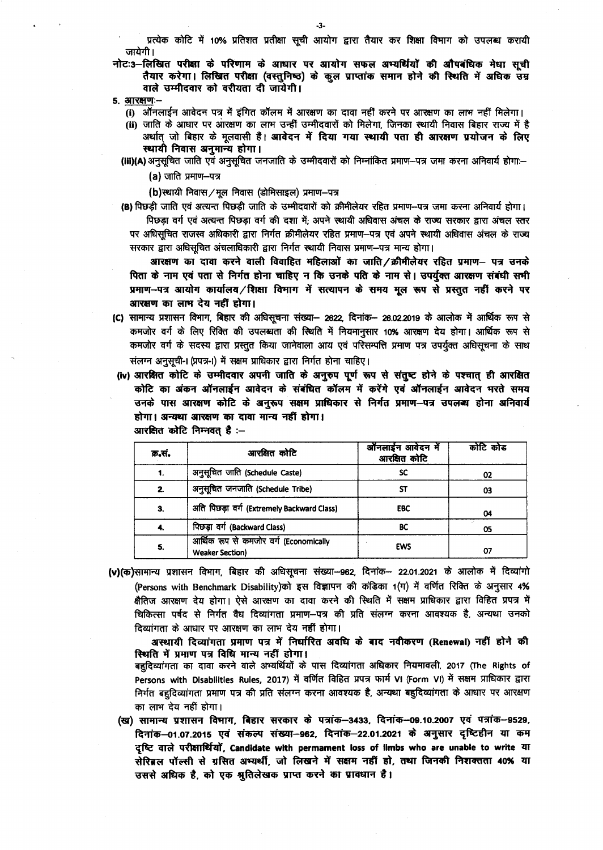प्रत्येक कोटि में 10% प्रतिशत प्रतीक्षा सूची आयोग द्वारा तैयार कर शिक्षा विभाग को उपलब्ध करायी जायेगी।

नोटः3-लिखित परीक्षा के परिणाम के आधार पर आयोग सफल अभ्यर्थियों की औपबंधिक मेधा सूची तैयार करेगा। लिखित परीक्षा (वस्तुनिष्ठ) के कूल प्राप्तांक समान होने की स्थिति में अधिक उम्र वाले उम्मीदवार को वरीयता दी जायेगी।

- 5. आरक्षण:--
	- (i) ऑनलाईन आवेदन पत्र में इंगित कॉलम में आरक्षण का दावा नहीं करने पर आरक्षण का लाभ नहीं मिलेगा।
	- (ii) जाति के आधार पर आरक्षण का लाभ उन्हीं उम्मीदवारों को मिलेगा, जिनका स्थायी निवास बिहार राज्य में है अर्थात् जो बिहार के मूलवासी हैं। आवेदन में दिया गया स्थायी पता ही आरक्षण प्रयोजन के लिए स्थायी निवास अनुमान्य होगा।
	- (iii)(A) अनुसूचित जाति एवं अनुसूचित जनजाति के उम्मीदवारों को निम्नांकित प्रमाण—पत्र जमा करना अनिवार्य होगा:— (a) जाति प्रमाण-पत्र

(b)स्थायी निवास / मूल निवास (डोमिसाइल) प्रमाण-पत्र

(B) पिछड़ी जाति एवं अत्यन्त पिछड़ी जाति के उम्मीदवारों को क्रीमीलेयर रहित प्रमाण--पत्र जमा करना अनिवार्य होगा। पिछड़ा वर्ग एवं अत्यन्त पिछड़ा वर्ग की दशा में; अपने स्थायी अधिवास अंचल के राज्य सरकार द्वारा अंचल स्तर पर अधिसुचित राजस्व अधिकारी द्वारा निर्गत क्रीमीलेयर रहित प्रमाण–पत्र एवं अपने स्थायी अधिवास अंचल के राज्य सरकार द्वारा अधिसूचित अंचलाधिकारी द्वारा निर्गत स्थायी निवास प्रमाण-पत्र मान्य होगा।

आरक्षण का दावा करने वाली विवाहित महिलाओं का जाति/क्रीमीलेयर रहित प्रमाण— पत्र उनके पिता के नाम एवं पता से निर्गत होना चाहिए न कि उनके पति के नाम से। उपर्युक्त आरक्षण संबंधी सभी प्रमाण-पत्र आयोग कार्यालय/शिक्षा विभाग में सत्यापन के समय मूल रूप से प्रस्तुत नहीं करने पर आरक्षण का लाभ देय नहीं होगा।

- (C) सामान्य प्रशासन विभाग, बिहार की अधिसूचना संख्या- 2622, दिनांक- 26.02.2019 के आलोक में आर्थिक रूप से कमजोर वर्ग के लिए रिक्ति की उपलब्धता की स्थिति में नियमानुसार 10% आरक्षण देय होगा। आर्थिक रूप से कमजोर वर्ग के सदस्य द्वारा प्रस्तुत किया जानेवाला आय एवं परिसम्पत्ति प्रमाण पत्र उपर्युक्त अधिसूचना के साथ संलग्न अनुसूची-। (प्रपत्र-।) में सक्षम प्राधिकार द्वारा निर्गत होना चाहिए।
- (iv) आरक्षित कोटि के उम्मीदवार अपनी जाति के अनुरुप पूर्ण रूप से संतुष्ट होने के पश्चात् ही आरक्षित कोटि का अंकन ऑनलाईन आवेदन के संबंधित कॉलम में करेंगे एवं ऑनलाईन आवेदन भरते समय उनके पास आरक्षण कोटि के अनुरूप सक्षम प्राधिकार से निर्गत प्रमाण-पत्र उपलब्ध होना अनिवार्य होगा। अन्यथा आरक्षण का दावा मान्य नहीं होगा।

| क्र.सं.      | आरक्षित कोटि                                                     | ऑनलाईन आवेदन में<br>आरक्षित कोटि | कोटि कोड |
|--------------|------------------------------------------------------------------|----------------------------------|----------|
|              | अनुसूचित जाति (Schedule Caste)                                   | SC                               | 02       |
| $\mathbf{2}$ | अनुसूचित जनजाति (Schedule Tribe)                                 |                                  | 03       |
| 3.           | अति पिछड़ा वर्ग (Extremely Backward Class)                       | <b>EBC</b>                       | 04       |
|              | पिछड़ा वर्ग (Backward Class)                                     | BС                               | 05       |
| 5.           | आर्थिक रूप से कमजोर वर्ग (Economically<br><b>Weaker Section)</b> | <b>EWS</b>                       |          |

आरक्षित कोटि निम्नवत् है :-

**(v)(क)**सामान्य प्रशासन विभाग, बिहार की अधिसूचना संख्या–962, दिनांक– 22.01.2021 के आलोक में दिव्यांगो (Persons with Benchmark Disability)को इस विज्ञापन की कंडिका 1(ग) में वर्णित रिक्ति के अनुसार 4% क्षैतिज आरक्षण देय होगा। ऐसे आरक्षण का दावा करने की स्थिति में सक्षम प्राधिकार द्वारा विहित प्रपत्र में चिकित्सा पर्षद से निर्गत वैध दिव्यांगता प्रमाण--पत्र की प्रति संलग्न करना आवश्यक है, अन्यथा उनको दिव्यांगता के आधार पर आरक्षण का लाभ देय नहीं होगा।

अस्थायी दिव्यांगता प्रमाण पत्र में निर्धारित अवधि के बाद नवीकरण (Renewal) नहीं होने की स्थिति में प्रमाण पत्र विधि मान्य नहीं होगा।

बहुदिव्यांगता का दावा करने वाले अभ्यर्थियों के पास दिव्यांगता अधिकार नियमावली, 2017 (The Rights of Persons with Disabilities Rules, 2017) में वर्णित विहित प्रपत्र फार्म VI (Form VI) में सक्षम प्राधिकार द्वारा निर्गत बहुदिव्यांगता प्रमाण पत्र की प्रति संलग्न करना आवश्यक है, अन्यथा बहुदिव्यांगता के आधार पर आरक्षण का लाभ देय नहीं होगा।

(ख) सामान्य प्रशासन विमाग, बिहार सरकार के पत्रांक-3433, दिनांक-09.10.2007 एवं पत्रांक-9529, दिनांक–01.07.2015 एवं संकल्प संख्या–962, दिनांक–22.01.2021 के अनुसार दृष्टिहीन या कम दृष्टि वाले परीक्षार्थियों, Candidate with permament loss of limbs who are unable to write या सेरिब्रल पॉल्सी से ग्रसित अभ्यर्थी, जो लिखने में सक्षम नहीं हो, तथा जिनकी निशक्तता 40% या उससे अधिक है, को एक श्रुतिलेखक प्राप्त करने का प्रावधान है।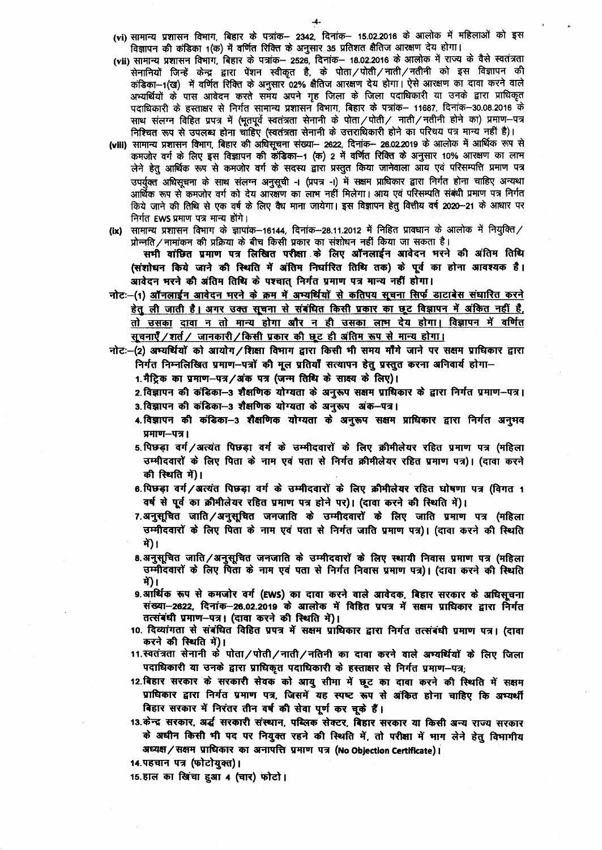(vi) सामान्य प्रशासन विभाग, बिहार के पत्रांक- 2342, दिनांक- 15.02.2016 के आलोक में महिलाओं को इस विज्ञापन की कंडिका 1(क) में वर्णित रिक्ति के अनुसार 35 प्रतिशत क्षैतिज आरक्षण देय होगा।

- (vii) सामान्य प्रशासन विभाग, बिहार के पत्रांक- 2526, दिनांक- 18.02.2016 के आलोक में राज्य के वैसे स्वतंत्रता सेनानियों जिन्हें केन्द्र द्वारा पेंशन स्वीकृत है, के पोता /पोती /नाती /नतीनी को इस विज्ञापन की कंडिका-1(ख) में वर्णित रिक्ति के अनुसार 02% क्षैतिज आरक्षण देय होगा। ऐसे आरक्षण का दावा करने वाले अभ्यर्थियों के पास आवेदन करते समय अपने गृह जिला के जिला पदाधिकारी या उनके द्वारा प्राधिकृत पदाधिकारी के हस्ताक्षर से निर्गत सामान्य प्रशासन विभाग, बिहार के पत्रांक— 11687, दिनांक—30.08.2016 के साथ संलग्न विहित प्रपत्र में (भूतपूर्व स्वतंत्रता सेनानी के पोता / पोती / नाती / नतीनी होने का) प्रमाण–पत्र निश्चित रूप से उपलब्ध होना चाहिए (स्वतंत्रता सेनानी के उत्तराधिकारी होने का परिचय पत्र मान्य नहीं है)।
- (viii) सामान्य प्रशासन विभाग, बिहार की अधिसूचना संख्या-- 2622, दिनांक-- 26.02.2019 के आलोक में आर्थिक रूप से कमजोर वर्ग के लिए इस विज्ञापन की कंडिका-1 (क) 2 में वर्णित रिक्ति के अनुसार 10% आरक्षण का लाम लेने हेतु आर्थिक रूप से कमजोर वर्ग के सदस्य द्वारा प्रस्तुत किया जानेवाला आय एवं परिसम्पत्ति प्रमाण पत्र उपर्युक्त अधिसूचना के साथ संलग्न अनुसूची -। (प्रपत्र -।) में सक्षम प्राधिकार द्वारा निर्गत होना चाहिए अन्यथा आर्थिक रूप से कमजोर वर्ग को देय आरक्षण का लाभ नहीं मिलेगा। आय एवं परिसम्पति संबंधी प्रमाण पत्र निर्गत किये जाने की तिथि से एक वर्ष के लिए वैध माना जायेगा। इस विज्ञापन हेतु वित्तीय वर्ष 2020--21 के आधार पर निर्गत EWS प्रमाण पत्र मान्य होंगे।
- (ix) सामान्य प्रशासन विभाग के ज्ञापांक-16144, दिनांक-28.11.2012 में निहित प्रावधान के आलोक में नियुक्ति / प्रोन्नति/नामांकन की प्रक्रिया के बीच किसी प्रकार का संशोधन नहीं किया जा सकता है।

सभी वांछित प्रमाण पत्र लिखित परीक्षा के लिए ऑनलाईन आवेदन भरने की अंतिम तिथि (संशोधन किये जाने की स्थिति में अंतिम निर्धारित तिथि तक) के पूर्व का होना आवश्यक है। आवेदन भरने की अंतिम तिथि के पश्चात् निर्गत प्रमाण पत्र मान्य नहीं होगा।

- नोटः-(1) ऑनलाईन आवेदन भरने के क्रम में अभ्यर्थियों से कतिपय सूचना सिर्फ डाटाबेस संधारित करने हेतू ली जाती है। अगर उक्त सूचना से संबंधित किसी प्रकार का छूट विज्ञापन में अंकित नहीं है, तो उसका दावा न तो मान्य होगा और न ही उसका लाभ देय होगा। विज्ञापन में वर्णित सूचनाएँ /शर्त / जानकारी / किसी प्रकार की छूट ही अंतिम रूप से मान्य होगा।
- नोटः-(2) अभ्यर्थियों को आयोग/शिक्षा विभाग द्वारा किसी भी समय माँगे जाने पर सक्षम प्राधिकार द्वारा निर्गत निम्नलिखित प्रमाण-पत्रों की मूल प्रतियाँ सत्यापन हेतु प्रस्तुत करना अनिवार्य होगा-

1. मैट्रिक का प्रमाण-पत्र/अंक पत्र (जन्म तिथि के साक्ष्य के लिए)।

- 2. विज्ञापन की कंडिका-3 शैक्षणिक योग्यता के अनुरूप सक्षम प्राधिकार के द्वारा निर्गत प्रमाण-पत्र। 3. विज्ञापन की कंडिका-3 शैक्षणिक योग्यता के अनुरूप अंक-पत्र।
- 4. विज्ञापन की कंडिका--3 शैक्षणिक योग्यता के अनुरूप सक्षम प्राधिकार द्वारा निर्गत अनुभव प्रमाण-पत्र।
- 5. पिछड़ा वर्ग/अत्यंत पिछड़ा वर्ग के उम्मीदवारों के लिए क्रीमीलेयर रहित प्रमाण पत्र (महिला उम्मीदवारों के लिए पिता के नाम एवं पता से निर्गत क्रीमीलेयर रहित प्रमाण पत्र)। (दावा करने की स्थिति में)।
- 6. पिछड़ा वर्ग/अत्यंत पिछड़ा वर्ग के उम्मीदवारों के लिए क्रीमीलेयर रहित घोषणा पत्र (विगत 1 वर्ष से पूर्व का क्रीमीलेयर रहित प्रमाण पत्र होने पर)। (दावा करने की स्थिति में)।
- 7.अनुसूचित जाति/अनुसूचित जनजाति के उम्मीदवारों के लिए जाति प्रमाण पत्र (महिला उम्मीदवारों के लिए पिता के नाम एवं पता से निर्गत जाति प्रमाण पत्र)। (दावा करने की स्थिति में)।
- 8.अनुसूचित जाति/अनुसूचित जनजाति के उम्मीदवारों के लिए स्थायी निवास प्रमाण पत्र (महिला उम्मीदवारों के लिए पिता के नाम एवं पता से निर्गत निवास प्रमाण पत्र)। (दावा करने की स्थिति में)।
- 9.आर्थिक रूप से कमजोर वर्ग (EWS) का दावा करने वाले आवेदक, बिहार सरकार के अधिसूचना संख्या–2622, दिनांक–26.02.2019 के आलोक में विहित प्रपत्र में सक्षम प्राधिकार द्वारा निर्गत तत्संबंधी प्रमाण-पत्र। (दावा करने की स्थिति में)।
- 10. दिव्यांगता से संबंधित विहित प्रपत्र में सक्षम प्राधिकार द्वारा निर्गत तत्संबंधी प्रमाण पत्र। (दावा करने की स्थिति में)।
- 11.स्वतंत्रता सेनानी के पोता/पोती/नाती/नतिनी का दावा करने वाले अभ्यर्थियों के लिए जिला पदाधिकारी या उनके द्वारा प्राधिकृत पदाधिकारी के हस्ताक्षर से निर्गत प्रमाण-पत्र:
- 12.बिहार सरकार के सरकारी सेवक को आयु सीमा में छूट का दावा करने की स्थिति में सक्षम प्राधिकार द्वारा निर्गत प्रमाण पत्र, जिसमें यह स्पष्ट रूप से अंकित होना चाहिए कि अभ्यर्थी बिहार सरकार में निरंतर तीन वर्ष की सेवा पूर्ण कर चूके हैं।
- 13.केन्द्र सरकार, अर्द्ध सरकारी संस्थान, पब्लिक सेक्टर, बिहार सरकार या किसी अन्य राज्य सरकार के अधीन किसी भी पद पर नियुक्त रहने की स्थिति में, तो परीक्षा में भाग लेने हेतु विभागीय अध्यक्ष / सक्षम प्राधिकार का अनापत्ति प्रमाण पत्र (No Objection Certificate)।
- 14.पहचान पत्र (फोटोयुक्त)।
- 15.हाल का खिंचा हुआ 4 (चार) फोटो।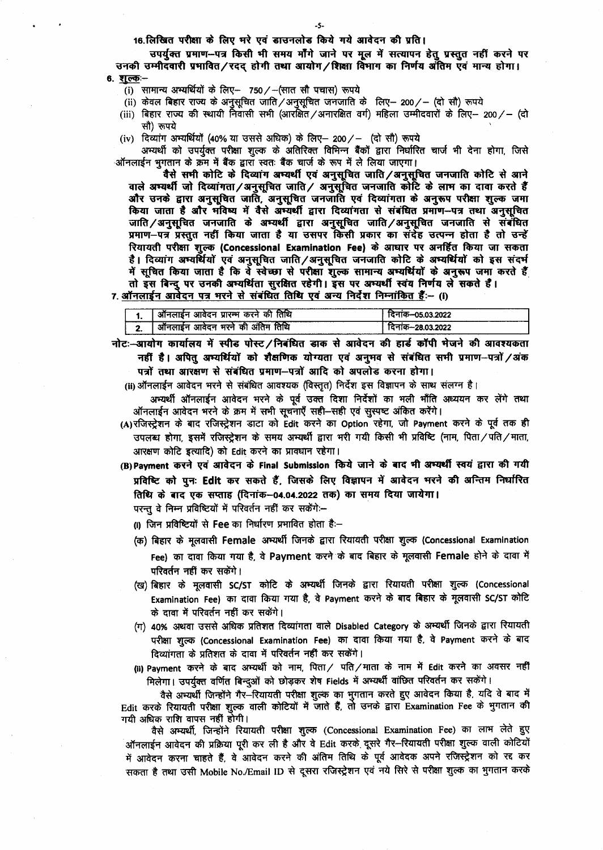16.लिखित परीक्षा के लिए भरे एवं डाउनलोड किये गये आवेदन की प्रति।

उपर्यक्त प्रमाण--पत्र किसी भी समय मौंगे जाने पर मूल में सत्यापन हेतु प्रस्तुत नहीं करने पर उनकी उम्मीदवारी प्रभावित/रदद् होगी तथा आयोग/शिक्षा विभाग का निर्णय अंतिम एवं मान्य होगा।

- 6. शुल्क:--
	- (i) सामान्य अभ्यर्थियों के लिए-- 750/-(सात सौ पचास) रूपये
	- (ii) केवल बिहार राज्य के अनुसूचित जाति / अनुसूचित जनजाति के लिए- 200 /- (दो सौ) रूपये
	- (iii) बिहार राज्य की स्थायी निवासी सभी (आरक्षित ⁄ अनारक्षित वर्ग) महिला उम्मीदवारों के लिए— 200 ⁄ (दो सौ) रूपये
	- (iv) दिव्यांग अभ्यर्थियों (40% या उससे अधिक) के लिए— 200/— (दो सौ) रूपये

अभ्यर्थी को उपर्युक्त परीक्षा शुल्क के अतिरिक्त विभिन्न बैंकों द्वारा निर्धारित चार्ज भी देना होगा, जिसे ऑनलाईन भुगतान के क्रम में बैंक द्वारा स्वतः बैंक चार्ज के रूप में ले लिया जाएगा।

वैसे सभी कोटि के दिव्यांग अभ्यर्थी एवं अनुसूचित जाति/अनुसूचित जनजाति कोटि से आने वाले अभ्यर्थी जो दिव्यांगता/अनुसूचित जाति/ अनुसूचित जनजाति कोटि के लाभ का दावा करते हैं और उनके द्वारा अनुसूचित जाति, अनुसूचित जनजाति एवं दिव्यांगता के अनुरूप परीक्षा शुल्क जमा किया जाता है और मंविष्य में वैसे अम्यर्थी द्वारा दिव्यांगता से संबंधित प्रमाण-पत्र तथा अनुसूचित जाति/अनुसूचित जनजाति के अभ्यर्थी द्वारा अनुसूचित जाति/अनुसूचित जनजाति से संबंधित प्रमाण—पत्र प्रस्तुत नहीं किया जाता है या उसपर किसी प्रकार का संदेह उत्पन्न होता है तो उन्हें रियायती परीक्षा शुल्क (Concessional Examination Fee) के आधार पर अनर्हित किया जा सकता है। दिव्यांग अभ्यर्थियों एवं अनुसूचित जाति/अनुसूचित जनजाति कोटि के अभ्यर्थियों को इस संदर्भ में सूचित किया जाता है कि वे स्वेच्छा से परीक्षा शुल्क सामान्य अभ्यर्थियों के अनुरूप जमा करते हैं तो इस बिन्दु पर उनकी अभ्यर्थिता सुरक्षित रहेगी। इस पर अभ्यर्थी स्वंय निर्णय ले सकते हैं।

# 7. ऑनलाईन आवेदन पत्र भरने से संबंधित तिथि एवं अन्य निर्देश निम्नांकित हैं:-- (i)

|  | *नलाइन आवेदन प्रारम्भ करने की तिथि     | दिनाक—05.03.2022 |
|--|----------------------------------------|------------------|
|  | े गनलाईन आवेदन भरने की अंतिम तिथि<br>आ | दिनाक—28.03.2022 |

नोटः-आयोग कार्यालय में स्पीड पोस्ट/निबंधित डाक से आवेदन की हार्ड कॉपी भेजने की आवश्यकता नहीं है। अपित् अभ्यर्थियों को शैक्षणिक योग्यता एवं अनुभव से संबंधित सभी प्रमाण-पत्रों /अंक पत्रों तथा आरक्षण से संबंधित प्रमाण-पत्रों आदि को अपलोड करना होगा।

(ii) ऑनलाईन आवेदन भरने से संबंधित आवश्यक (विस्तृत) निर्देश इस विज्ञापन के साथ संलग्न है।

- अभ्यर्थी ऑनलाईन आवेदन भरने के पूर्व उक्त दिशा निर्देशों का भली भाँति अध्ययन कर लेंगे तथा ऑनलाईन आवेदन भरने के क्रम में सभी सूचनाएँ सही—सही एवं सुस्पष्ट अंकित करेंगे।
- (A)रजिस्ट्रेशन के बाद रजिस्ट्रेशन डाटा को Edit करने का Option रहेगा, जो Payment करने के पूर्व तक ही उपलब्ध होगा, इसमें रजिस्ट्रेशन के समय अभ्यर्थी द्वारा भरी गयी किसी भी प्रविष्टि (नाम, पिता/पति/माता, आरक्षण कोटि इत्यादि) को Edit करने का प्रावधान रहेगा।
- (B) Payment करने एवं आवेदन के Final Submission किये जाने के बाद भी अभ्यर्थी स्वयं द्वारा की गयी प्रविष्टि को पुनः Edit कर सकते हैं, जिसके लिए विज्ञापन में आवेदन भरने की अन्तिम निर्धारित तिथि के बाद एक सप्ताह (दिनांक-04.04.2022 तक) का समय दिया जायेगा।

परन्तु वे निम्न प्रविष्टियों में परिवर्तन नहीं कर सकेंगे:--

- (i) जिन प्रविष्टियों से Fee का निर्धारण प्रभावित होता है:—
- (क) बिहार के मूलवासी Female अभ्यर्थी जिनके द्वारा रियायती परीक्षा शुल्क (Concessional Examination Fee) का दावा किया गया है, वे Payment करने के बाद बिहार के मूलवासी Female होने के दावा में परिवर्तन नहीं कर सकेंगे।
- (ख) बिहार के मूलवासी SC/ST कोटि के अभ्यर्थी जिनके द्वारा रियायती परीक्षा शुल्क (Concessional Examination Fee) का दावा किया गया है, वे Payment करने के बाद बिहार के मूलवासी SC/ST कोटि के दावा में परिवर्तन नहीं कर सकेंगे।
- (ग) 40% अथवा उससे अधिक प्रतिशत दिव्यांगता वाले Disabled Category के अभ्यर्थी जिनके द्वारा रियायती परीक्षा शुल्क (Concessional Examination Fee) का दावा किया गया है, वे Payment करने के बाद दिव्यांगता के प्रतिशत के दावा में परिवर्तन नहीं कर सकेंगे।
- (ii) Payment करने के बाद अभ्यर्थी को नाम, पिता/ पति/माता के नाम में Edit करने का अवसर नहीं मिलेगा। उपर्युक्त वर्णित बिन्दुओं को छोड़कर शेष Fields में अभ्यर्थी वांछित परिवर्तन कर सकेंगे।

वैसे अभ्यर्थी जिन्होंने गैर--रियायती परीक्षा शुल्क का भुगतान करते हुए आवेदन किया है, यदि वे बाद में Edit करके रियायती परीक्षा शूल्क वाली कोटियों में जाते हैं, तो उनके द्वारा Examination Fee के भुगतान की गयी अधिक राशि वापस नहीं होगी।

वैसे अभ्यर्थी, जिन्होंने रियायती परीक्षा शुल्क (Concessional Examination Fee) का लाभ लेते हुए ऑनलाईन आवेदन की प्रक्रिया पूरी कर ली है और वे Edit करके दूसरे गैर—रियायती परीक्षा शुल्क वाली कोटियों में आवेदन करना चाहते हैं, वे आवेदन करने की अंतिम तिथि के पूर्व आवेदक अपने रजिस्ट्रेशन को रद्द कर सकता है तथा उसी Mobile No./Email ID से दूसरा रजिस्ट्रेशन एवं नये सिरे से परीक्षा शुल्क का भुगतान करके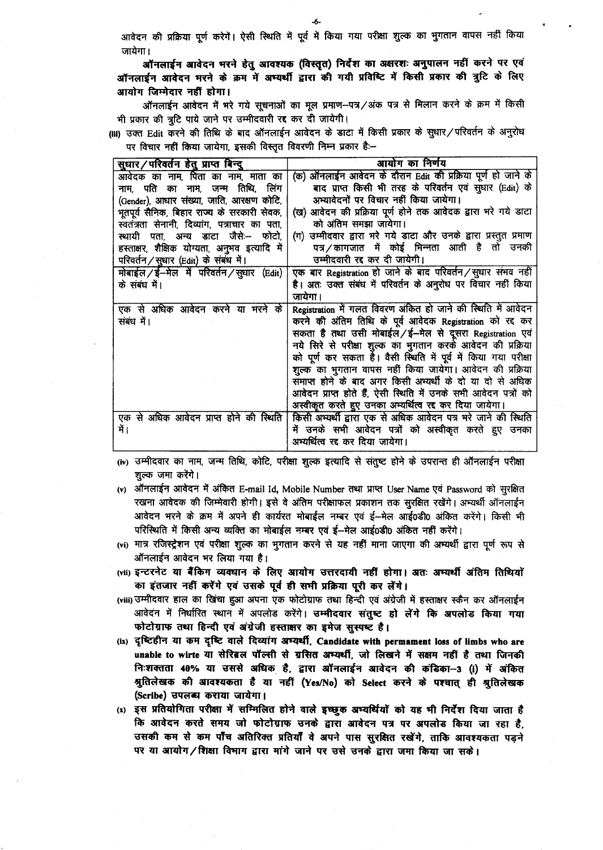आवेदन की प्रक्रिया पूर्ण करेगें। ऐसी स्थिति में पूर्व में किया गया परीक्षा शुल्क का भुगतान वापस नहीं किया जायेगा।

ऑनलाईन आवेदन भरने हेतु आवश्यक (विस्तृत) निर्देश का अक्षरशः अनुपालन नहीं करने पर एवं ऑनलाईन आवेदन भरने के क्रम में अभ्यर्थी द्वारा की गयी प्रविष्टि में किसी प्रकार की त्रुटि के लिए आयोग जिम्मेदार नहीं होगा।

ऑनलाईन आवेदन में भरे गये सुचनाओं का मूल प्रमाण—पत्र⁄अंक पत्र से मिलान करने के क्रम में किसी भी प्रकार की त्रूटि पाये जाने पर उम्मीदवारी रद्द कर दी जायेगी।

(III) उक्त Edit करने की तिथि के बाद ऑनलाईन आवेदन के डाटा में किसी प्रकार के सुधार/परिवर्तन के अनुरोध पर विचार नहीं किया जायेगा, इसकी विस्तृत विवरणी निम्न प्रकार है:--

| सुधार/परिवर्तन हेतु प्राप्त बिन्दु            | आयोग का निर्णय                                                   |
|-----------------------------------------------|------------------------------------------------------------------|
| आवेदक का नाम, पिता का नाम, माता का            | (क) ऑनलाईन आवेदन के दौरान Edit की प्रक्रिया पूर्ण हो जाने के     |
| नाम, पति का नाम, जन्म तिथि, लिंग              | बाद प्राप्त किसी भी तरह के परिवर्तन एवं सुधार (Edit) के          |
| (Gender), आधार संख्या, जाति, आरक्षण कोटि,     | अभ्यावेदनों पर विचार नहीं किया जायेगा।                           |
| भूतपूर्व सैनिक, बिहार राज्य के सरकारी सेवक,   | (ख) आवेदन की प्रक्रिया पूर्ण होने तक आवेदक द्वारा भरे गये डाटा   |
| स्वतंत्रता सेनानी, दिव्यांग, पत्राचार का पता, | को अंतिम समझा जायेगा।                                            |
| स्थायी पता, अन्य डाटा जैसे:-- फोटो,           | (ग) उम्मीदवार द्वारा भरे गये डाटा और उनके द्वारा प्रस्तुत प्रमाण |
| हस्ताक्षर, शैक्षिक योग्यता, अनुभव इत्यादि में | पत्र/कागजात में कोई भिन्नता आती है तो उनकी                       |
| परिवर्तन / सुधार (Edit) के संबंध में।         | उम्मीदवारी रद्द कर दी जायेगी।                                    |
| मोबाईल / ई-मेल में परिवर्तन / सुधार (Edit)    | एक बार Registration हो जाने के बाद परिवर्तन / सुधार संभव नहीं    |
| के संबंध में।                                 | है। अतः उक्त संबंध में परिवर्तन के अनुरोध पर विचार नहीं किया     |
|                                               | जायेगा।                                                          |
| एक से अधिक आवेदन करने या भरने के              | Registration में गलत विवरण अंकित हो जाने की स्थिति में आवेदन     |
| संबंध में।                                    | करने की अंतिम तिथि के पूर्व आवेदक Registration को रद्द कर        |
|                                               | सकता है तथा उसी मोबाईल /ई-मेल से दूसरा Registration एवं          |
|                                               | नये सिरे से परीक्षा शुल्क का भुगतान करके आवेदन की प्रक्रिया      |
|                                               | को पूर्ण कर सकता है। वैसी स्थिति में पूर्व में किया गया परीक्षा  |
|                                               | शुल्क का भुगतान वापस नहीं किया जायेगा। आवेदन की प्रक्रिया        |
|                                               | समाप्त होने के बाद अगर किसी अभ्यर्थी के दो या दो से अधिक         |
|                                               | आवेदन प्राप्त होते हैं, ऐसी स्थिति में उनके सभी आवेदन पत्रों को  |
|                                               | अस्वीकृत करते हुए उनका अभ्यर्थित्व रद्द कर दिया जायेगा।          |
| एक से अधिक आवेदन प्राप्त होने की स्थिति       | किसी अभ्यर्थी द्वारा एक से अधिक आवेदन पत्र भरे जाने की स्थिति    |
| में ।                                         | में उनके सभी आवेदन पत्रों को अस्वीकृत करते हुए उनका              |
|                                               | अभ्यर्थित्व रद्द कर दिया जायेगा।                                 |

(iv) उम्मीदवार का नाम, जन्म तिथि, कोटि, परीक्षा शुल्क इत्यादि से संतुष्ट होने के उपरान्त ही ऑनलाईन परीक्षा शुल्क जमा करेंगे।

- (v) ऑनलाईन आवेदन में अंकित E-mail Id, Mobile Number तथा प्राप्त User Name एवं Password को सुरक्षित रखना आवेदक की जिम्मेवारी होगी। इसे वे अंतिम परीक्षाफल प्रकाशन तक सुरक्षित रखेंगे। अभ्यर्थी ऑनलाईन आवेदन भरने के क्रम में अपने ही कार्यरत मोबाईल नम्बर एवं ई—मेल आई0डी0 अंकित करेंगे। किसी भी परिस्थिति में किसी अन्य व्यक्ति का मोबाईल नम्बर एवं ई-मेल आई0डी0 अंकित नहीं करेंगे।
- (vi) मात्र रजिस्ट्रेशन एवं परीक्षा शुल्क का भूगतान करने से यह नहीं माना जाएगा की अभ्यर्थी द्वारा पूर्ण रूप से ऑनलाईन आवेदन भर लिया गया है।
- (vii) इन्टरनेट या बैंकिंग व्यवघान के लिए आयोग उत्तरदायी नहीं होगा। अतः अम्यर्थी अंतिम तिथियों का इंतजार नहीं करेंगे एवं उसके पूर्व ही सभी प्रक्रिया पूरी कर लेंगे।
- (viii) उम्मीदवार हाल का खिंचा हुआ अपना एक फोटोग्राफ तथा हिन्दी एवं अंग्रेजी में हस्ताक्षर स्कैन कर ऑनलाईन आवेदन में निर्धारित स्थान में अपलोड करेंगे। उम्मीदवार संतुष्ट हो लेंगे कि अपलोड किया गया फोटोग्राफ तथा हिन्दी एवं अंग्रेजी हस्ताक्षर का इमेज सुस्पष्ट है।
- (ix) दृष्टिहीन या कम दृष्टि वाले दिव्यांग अभ्यर्थी, Candidate with permament loss of limbs who are unable to wirte या सेरिब्रल पॉल्सी से ग्रसित अभ्यर्थी, जो लिखने में सक्षम नहीं है तथा जिनकी निःशक्तता 40% या उससे अधिक है, द्वारा ऑनलाईन आवेदन की कंडिका-3 (i) में अंकित श्रुतिलेखक की आवश्यकता है या नहीं (Yes/No) को Select करने के पश्चात् ही श्रुतिलेखक (Scribe) उपलब्ध कराया जायेगा।
- (x) इस प्रतियोगिता परीक्षा में सम्मिलित होने वाले इच्छुक अभ्यर्थियों को यह भी निर्देश दिया जाता है कि आवेदन करते समय जो फोटोग्राफ उनके द्वारा आवेदन पत्र पर अपलोड किया जा रहा है. उसकी कम से कम पाँच अतिरिक्त प्रतियाँ वे अपने पास सुरक्षित रखेंगे, ताकि आवश्यकता पडने पर या आयोग/शिक्षा विभाग द्वारा मांगे जाने पर उसे उनके द्वारा जमा किया जा सके।